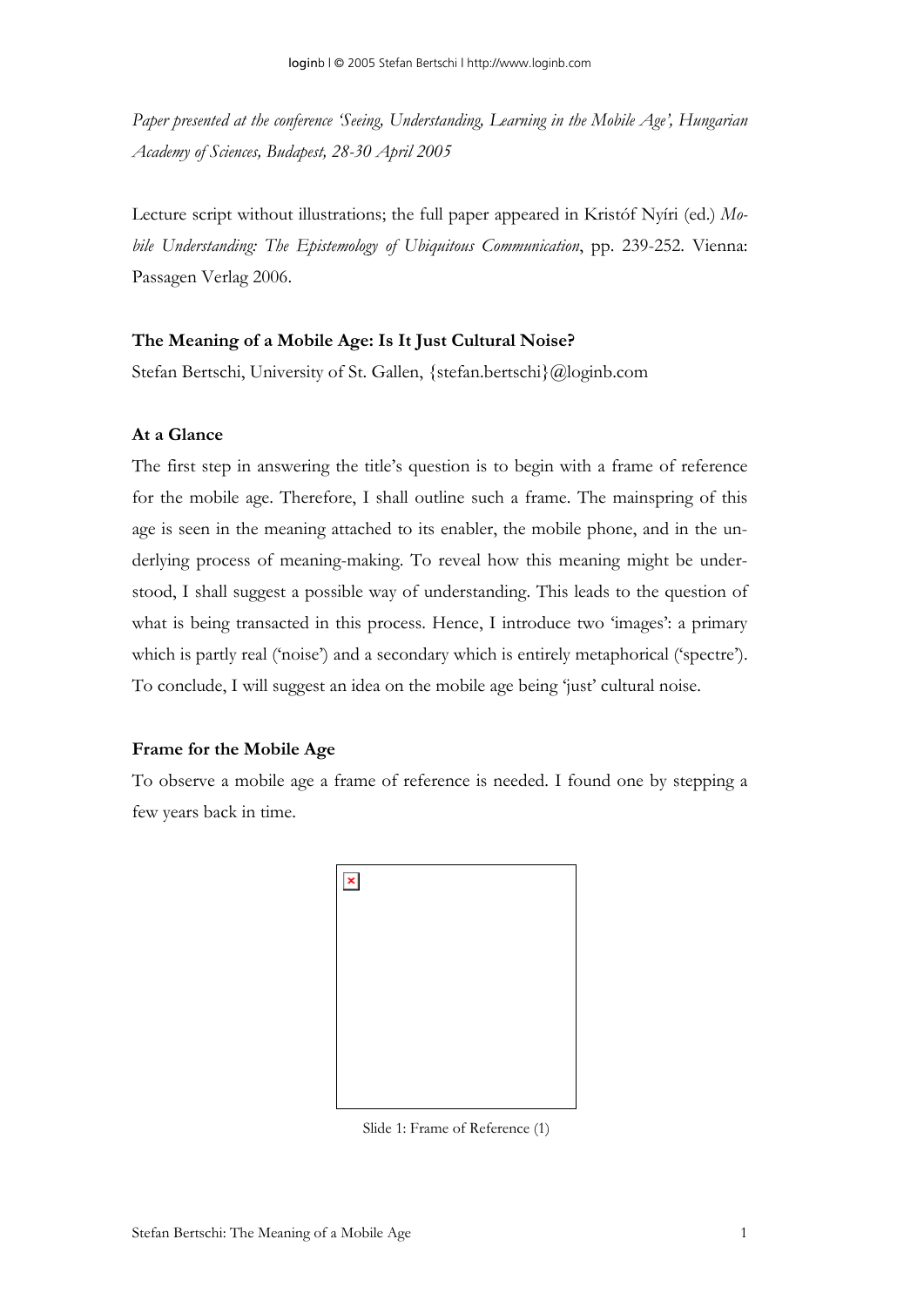*Paper presented at the conference 'Seeing, Understanding, Learning in the Mobile Age', Hungarian Academy of Sciences, Budapest, 28-30 April 2005* 

Lecture script without illustrations; the full paper appeared in Kristóf Nyíri (ed.) *Mobile Understanding: The Epistemology of Ubiquitous Communication*, pp. 239-252. Vienna: Passagen Verlag 2006.

## **The Meaning of a Mobile Age: Is It Just Cultural Noise?**

Stefan Bertschi, University of St. Gallen, {stefan.bertschi}@loginb.com

# **At a Glance**

The first step in answering the title's question is to begin with a frame of reference for the mobile age. Therefore, I shall outline such a frame. The mainspring of this age is seen in the meaning attached to its enabler, the mobile phone, and in the underlying process of meaning-making. To reveal how this meaning might be understood, I shall suggest a possible way of understanding. This leads to the question of what is being transacted in this process. Hence, I introduce two 'images': a primary which is partly real ('noise') and a secondary which is entirely metaphorical ('spectre'). To conclude, I will suggest an idea on the mobile age being 'just' cultural noise.

### **Frame for the Mobile Age**

To observe a mobile age a frame of reference is needed. I found one by stepping a few years back in time.



Slide 1: Frame of Reference (1)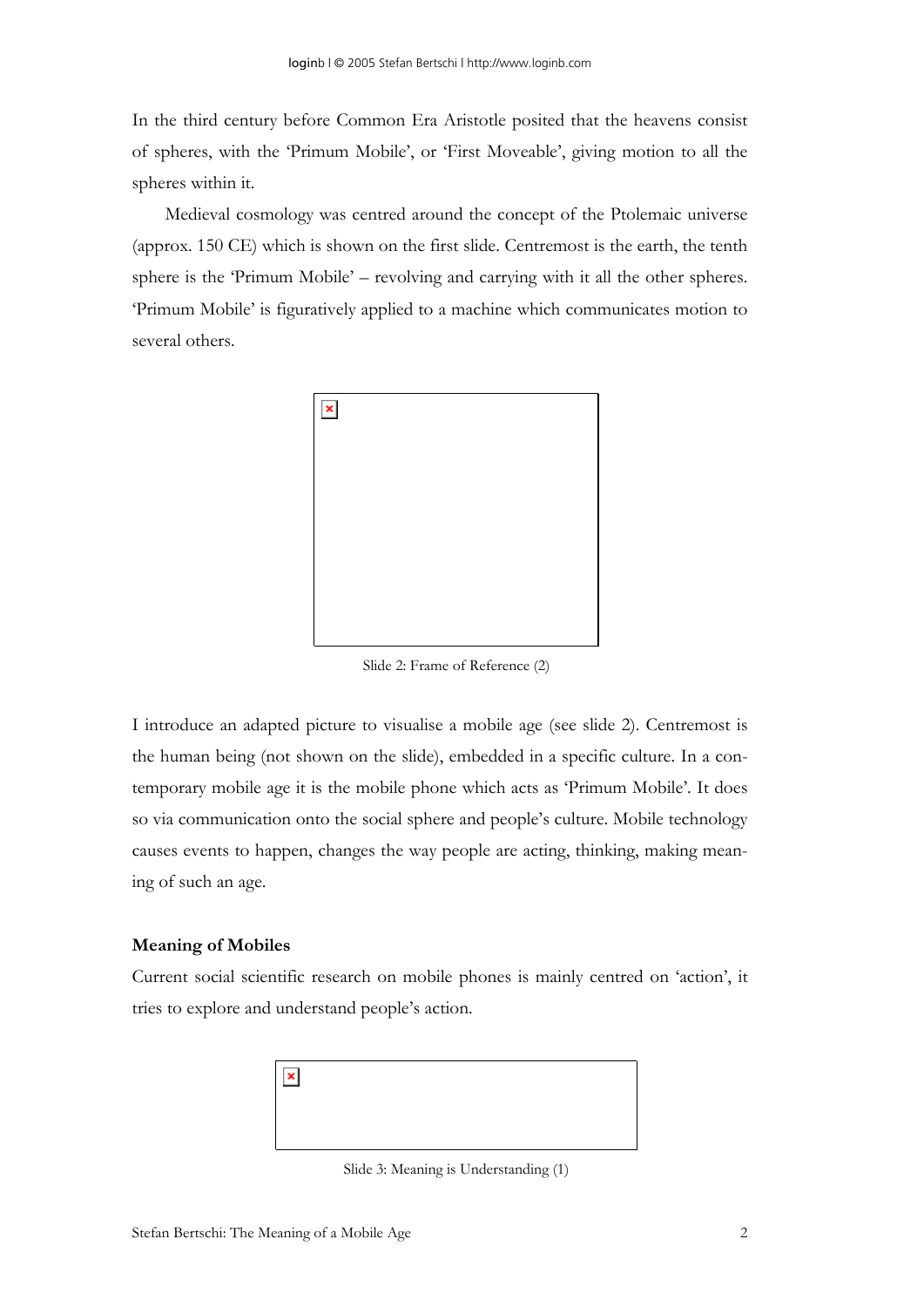In the third century before Common Era Aristotle posited that the heavens consist of spheres, with the 'Primum Mobile', or 'First Moveable', giving motion to all the spheres within it.

Medieval cosmology was centred around the concept of the Ptolemaic universe (approx. 150 CE) which is shown on the first slide. Centremost is the earth, the tenth sphere is the 'Primum Mobile' – revolving and carrying with it all the other spheres. 'Primum Mobile' is figuratively applied to a machine which communicates motion to several others.



Slide 2: Frame of Reference (2)

I introduce an adapted picture to visualise a mobile age (see slide 2). Centremost is the human being (not shown on the slide), embedded in a specific culture. In a contemporary mobile age it is the mobile phone which acts as 'Primum Mobile'. It does so via communication onto the social sphere and people's culture. Mobile technology causes events to happen, changes the way people are acting, thinking, making meaning of such an age.

#### **Meaning of Mobiles**

Current social scientific research on mobile phones is mainly centred on 'action', it tries to explore and understand people's action.



Slide 3: Meaning is Understanding (1)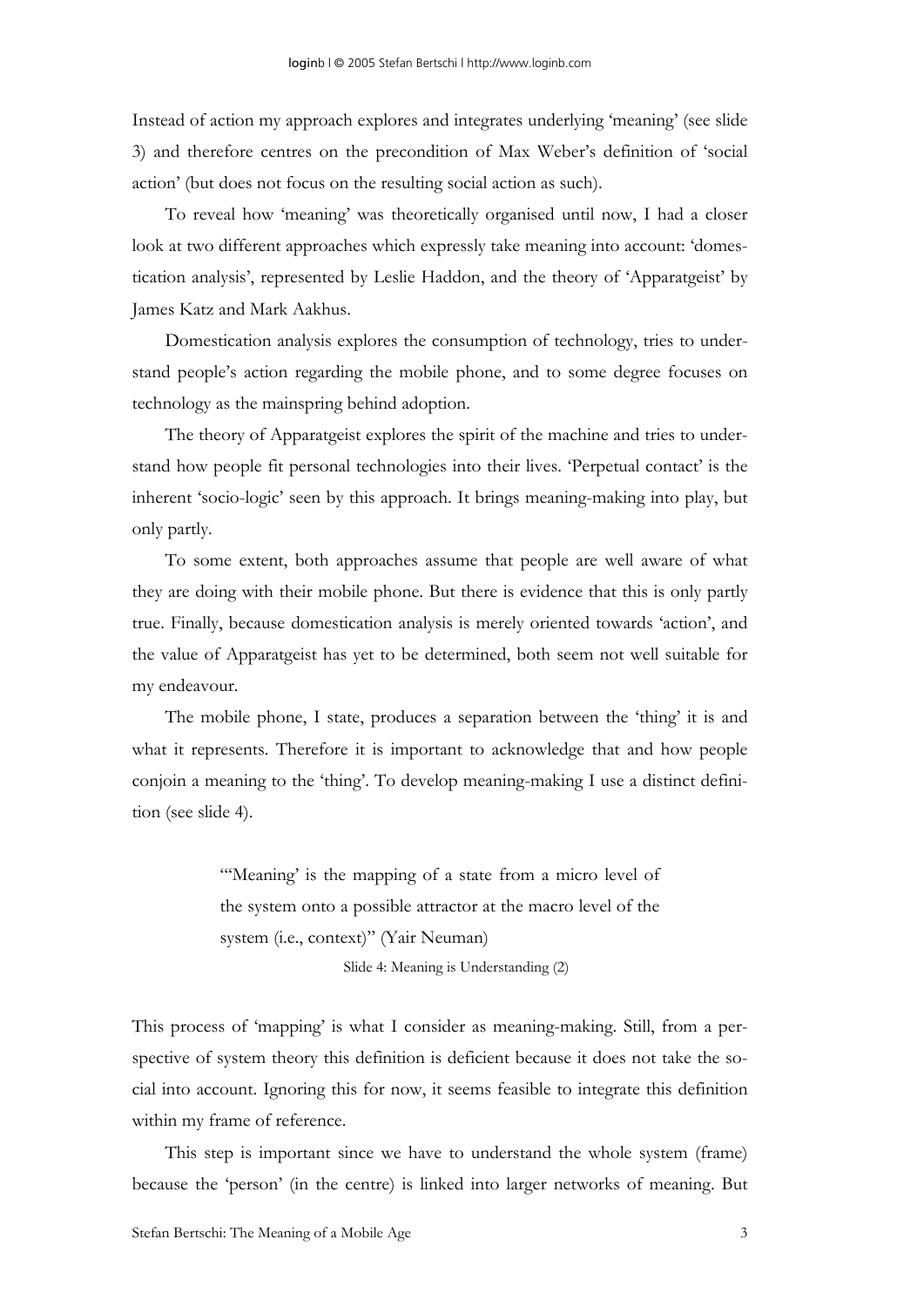Instead of action my approach explores and integrates underlying 'meaning' (see slide 3) and therefore centres on the precondition of Max Weber's definition of 'social action' (but does not focus on the resulting social action as such).

To reveal how 'meaning' was theoretically organised until now, I had a closer look at two different approaches which expressly take meaning into account: 'domestication analysis', represented by Leslie Haddon, and the theory of 'Apparatgeist' by James Katz and Mark Aakhus.

Domestication analysis explores the consumption of technology, tries to understand people's action regarding the mobile phone, and to some degree focuses on technology as the mainspring behind adoption.

The theory of Apparatgeist explores the spirit of the machine and tries to understand how people fit personal technologies into their lives. 'Perpetual contact' is the inherent 'socio-logic' seen by this approach. It brings meaning-making into play, but only partly.

To some extent, both approaches assume that people are well aware of what they are doing with their mobile phone. But there is evidence that this is only partly true. Finally, because domestication analysis is merely oriented towards 'action', and the value of Apparatgeist has yet to be determined, both seem not well suitable for my endeavour.

The mobile phone, I state, produces a separation between the 'thing' it is and what it represents. Therefore it is important to acknowledge that and how people conjoin a meaning to the 'thing'. To develop meaning-making I use a distinct definition (see slide 4).

> "Meaning' is the mapping of a state from a micro level of the system onto a possible attractor at the macro level of the system (i.e., context)" (Yair Neuman)

> > Slide 4: Meaning is Understanding (2)

This process of 'mapping' is what I consider as meaning-making. Still, from a perspective of system theory this definition is deficient because it does not take the social into account. Ignoring this for now, it seems feasible to integrate this definition within my frame of reference.

This step is important since we have to understand the whole system (frame) because the 'person' (in the centre) is linked into larger networks of meaning. But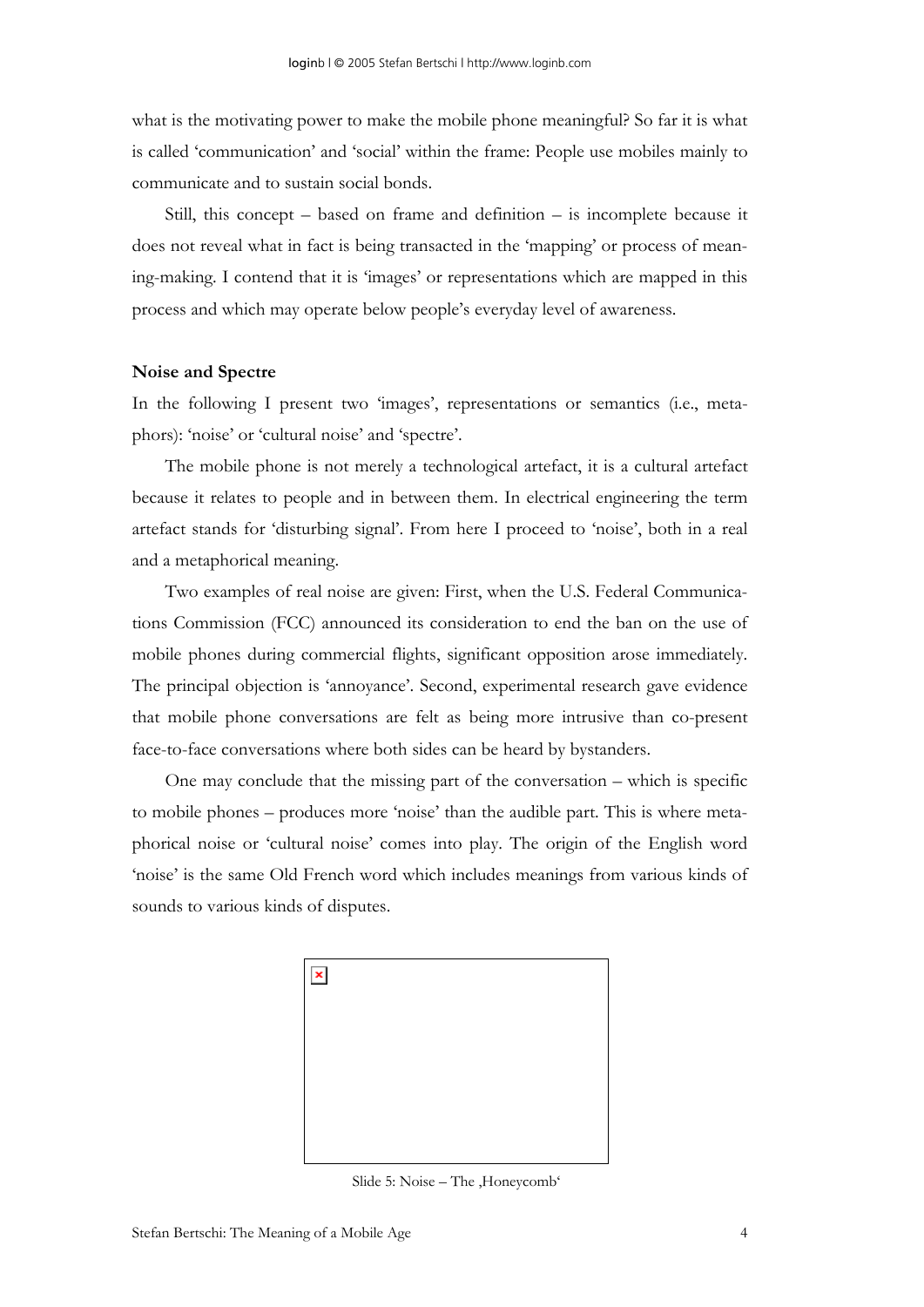what is the motivating power to make the mobile phone meaningful? So far it is what is called 'communication' and 'social' within the frame: People use mobiles mainly to communicate and to sustain social bonds.

Still, this concept – based on frame and definition – is incomplete because it does not reveal what in fact is being transacted in the 'mapping' or process of meaning-making. I contend that it is 'images' or representations which are mapped in this process and which may operate below people's everyday level of awareness.

#### **Noise and Spectre**

In the following I present two 'images', representations or semantics (i.e., metaphors): 'noise' or 'cultural noise' and 'spectre'.

The mobile phone is not merely a technological artefact, it is a cultural artefact because it relates to people and in between them. In electrical engineering the term artefact stands for 'disturbing signal'. From here I proceed to 'noise', both in a real and a metaphorical meaning.

Two examples of real noise are given: First, when the U.S. Federal Communications Commission (FCC) announced its consideration to end the ban on the use of mobile phones during commercial flights, significant opposition arose immediately. The principal objection is 'annoyance'. Second, experimental research gave evidence that mobile phone conversations are felt as being more intrusive than co-present face-to-face conversations where both sides can be heard by bystanders.

One may conclude that the missing part of the conversation – which is specific to mobile phones – produces more 'noise' than the audible part. This is where metaphorical noise or 'cultural noise' comes into play. The origin of the English word 'noise' is the same Old French word which includes meanings from various kinds of sounds to various kinds of disputes.



Slide 5: Noise – The , Honeycomb'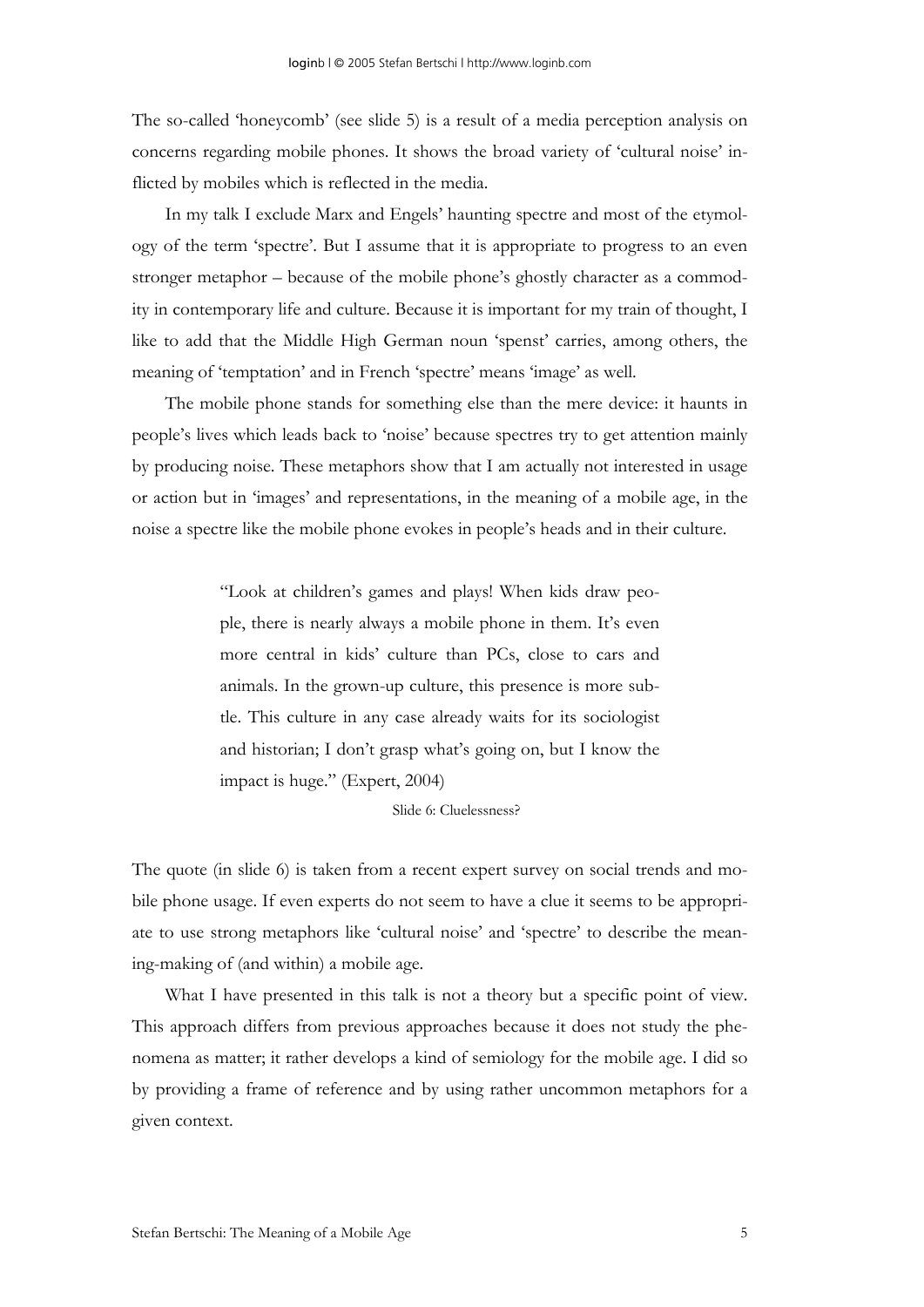The so-called 'honeycomb' (see slide 5) is a result of a media perception analysis on concerns regarding mobile phones. It shows the broad variety of 'cultural noise' inflicted by mobiles which is reflected in the media.

In my talk I exclude Marx and Engels' haunting spectre and most of the etymology of the term 'spectre'. But I assume that it is appropriate to progress to an even stronger metaphor – because of the mobile phone's ghostly character as a commodity in contemporary life and culture. Because it is important for my train of thought, I like to add that the Middle High German noun 'spenst' carries, among others, the meaning of 'temptation' and in French 'spectre' means 'image' as well.

The mobile phone stands for something else than the mere device: it haunts in people's lives which leads back to 'noise' because spectres try to get attention mainly by producing noise. These metaphors show that I am actually not interested in usage or action but in 'images' and representations, in the meaning of a mobile age, in the noise a spectre like the mobile phone evokes in people's heads and in their culture.

> "Look at children's games and plays! When kids draw people, there is nearly always a mobile phone in them. It's even more central in kids' culture than PCs, close to cars and animals. In the grown-up culture, this presence is more subtle. This culture in any case already waits for its sociologist and historian; I don't grasp what's going on, but I know the impact is huge." (Expert, 2004)

#### Slide 6: Cluelessness?

The quote (in slide 6) is taken from a recent expert survey on social trends and mobile phone usage. If even experts do not seem to have a clue it seems to be appropriate to use strong metaphors like 'cultural noise' and 'spectre' to describe the meaning-making of (and within) a mobile age.

What I have presented in this talk is not a theory but a specific point of view. This approach differs from previous approaches because it does not study the phenomena as matter; it rather develops a kind of semiology for the mobile age. I did so by providing a frame of reference and by using rather uncommon metaphors for a given context.